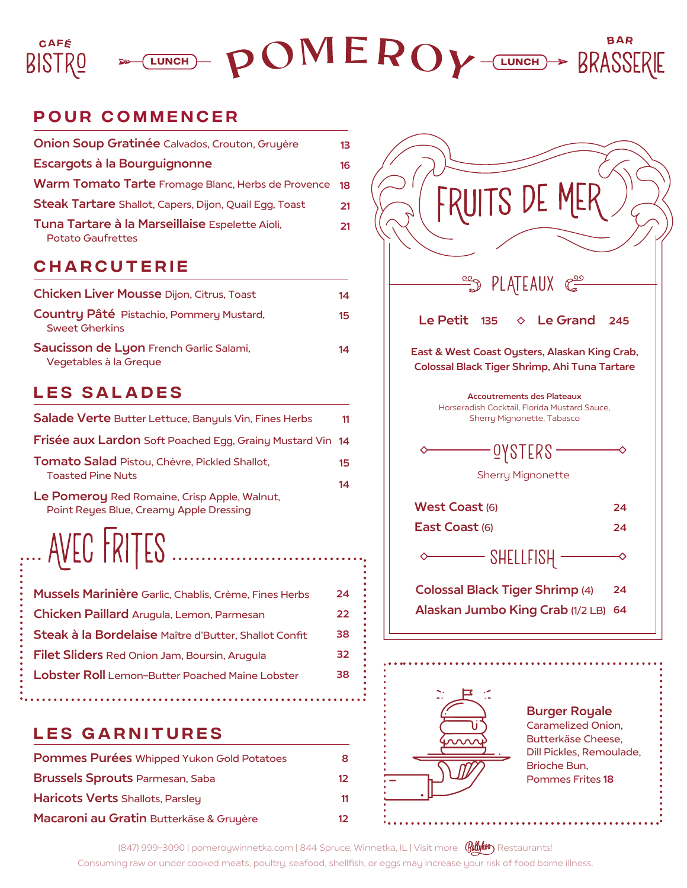



POUR COMMENCER

| Onion Soup Gratinée Calvados, Crouton, Gruyère                              | 13 |
|-----------------------------------------------------------------------------|----|
| Escargots à la Bourguignonne                                                | 16 |
| Warm Tomato Tarte Fromage Blanc, Herbs de Provence                          | 18 |
| Steak Tartare Shallot, Capers, Dijon, Quail Egg, Toast                      | 21 |
| Tuna Tartare à la Marseillaise Espelette Aioli,<br><b>Potato Gaufrettes</b> | 21 |

## **CHARCUTERIE**

| <b>Chicken Liver Mousse Dijon, Citrus, Toast</b>                  | 14 |
|-------------------------------------------------------------------|----|
| Country Pâté Pistachio, Pommery Mustard,<br><b>Sweet Gherkins</b> | 15 |
| Saucisson de Lyon French Garlic Salami,<br>Vegetables à la Gregue | 14 |

## LES SALADES

| <b>Salade Verte Butter Lettuce, Banyuls Vin, Fines Herbs</b>                            | 11       |
|-----------------------------------------------------------------------------------------|----------|
| <b>Frisée aux Lardon</b> Soft Poached Egg, Grainy Mustard Vin 14                        |          |
| Tomato Salad Pistou, Chèvre, Pickled Shallot,<br><b>Toasted Pine Nuts</b>               | 15<br>14 |
| Le Pomeroy Red Romaine, Crisp Apple, Walnut,<br>Point Reyes Blue, Creamy Apple Dressing |          |
|                                                                                         |          |

# AVEC FRITES

| Mussels Marinière Garlic, Chablis, Crème, Fines Herbs | 24  |
|-------------------------------------------------------|-----|
| Chicken Paillard Arugula, Lemon, Parmesan             | 22  |
| Steak à la Bordelaise Maître d'Butter, Shallot Confit | 38  |
| <b>Filet Sliders</b> Red Onion Jam, Boursin, Arugula  | 32. |
| Lobster Roll Lemon-Butter Poached Maine Lobster       | 38  |
|                                                       |     |

### Les Garnitures

| Pommes Purées Whipped Yukon Gold Potatoes |  |
|-------------------------------------------|--|
| <b>Brussels Sprouts Parmesan, Saba</b>    |  |
| <b>Haricots Verts Shallots, Parsley</b>   |  |
| Macaroni au Gratin Butterkäse & Gruyère   |  |



**BAR** 

BRASSERIE



## Burger Royale

Caramelized Onion, Butterkäse Cheese, Dill Pickles, Remoulade, Brioche Bun, Pommes Frites 18

(847) 999-3090 | pomeroywinnetka.com | 844 Spruce, Winnetka, IL | Visit more  $\mathcal{B}_{\text{aug}}^{\text{aug}}$  Restaurants! Consuming raw or under cooked meats, poultry, seafood, shellfish, or eggs may increase your risk of food borne illness.